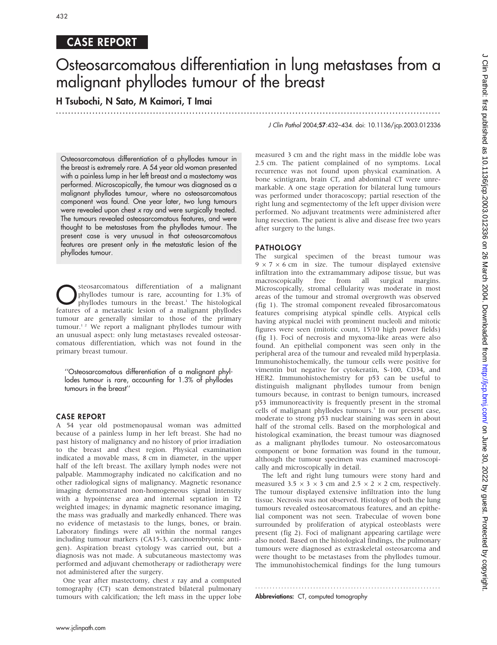# CASE REPORT

# Osteosarcomatous differentiation in lung metastases from a malignant phyllodes tumour of the breast

.............................................................................................................................. .

H Tsubochi, N Sato, M Kaimori, T Imai

Osteosarcomatous differentiation of a phyllodes tumour in the breast is extremely rare. A 54 year old woman presented with a painless lump in her left breast and a mastectomy was performed. Microscopically, the tumour was diagnosed as a malignant phyllodes tumour, where no osteosarcomatous component was found. One year later, two lung tumours were revealed upon chest x ray and were surgically treated. The tumours revealed osteosarcomatous features, and were thought to be metastases from the phyllodes tumour. The present case is very unusual in that osteosarcomatous features are present only in the metastatic lesion of the phyllodes tumour.

**C**Steosarcomatous differentiation of a malignant<br>phyllodes tumour is rare, accounting for 1.3% of<br>phyllodes tumours in the breast.<sup>1</sup> The histological<br>features of a metastatic lesion of a malignant phyllodes phyllodes tumour is rare, accounting for 1.3% of features of a metastatic lesion of a malignant phyllodes tumour are generally similar to those of the primary  $t$ umour.<sup>12</sup> We report a malignant phyllodes tumour with an unusual aspect: only lung metastases revealed osteosarcomatous differentiation, which was not found in the primary breast tumour.

''Osteosarcomatous differentiation of a malignant phyllodes tumour is rare, accounting for 1.3% of phyllodes tumours in the breast''

# CASE REPORT

A 54 year old postmenopausal woman was admitted because of a painless lump in her left breast. She had no past history of malignancy and no history of prior irradiation to the breast and chest region. Physical examination indicated a movable mass, 8 cm in diameter, in the upper half of the left breast. The axillary lymph nodes were not palpable. Mammography indicated no calcification and no other radiological signs of malignancy. Magnetic resonance imaging demonstrated non-homogeneous signal intensity with a hypointense area and internal septation in T2 weighted images; in dynamic magnetic resonance imaging, the mass was gradually and markedly enhanced. There was no evidence of metastasis to the lungs, bones, or brain. Laboratory findings were all within the normal ranges including tumour markers (CA15-3, carcinoembryonic antigen). Aspiration breast cytology was carried out, but a diagnosis was not made. A subcutaneous mastectomy was performed and adjuvant chemotherapy or radiotherapy were not administered after the surgery.

One year after mastectomy, chest  $x$  ray and a computed tomography (CT) scan demonstrated bilateral pulmonary tumours with calcification; the left mass in the upper lobe J Clin Pathol 2004;57:432–434. doi: 10.1136/jcp.2003.012336

measured 3 cm and the right mass in the middle lobe was 2.5 cm. The patient complained of no symptoms. Local recurrence was not found upon physical examination. A bone scintigram, brain CT, and abdominal CT were unremarkable. A one stage operation for bilateral lung tumours was performed under thoracoscopy; partial resection of the right lung and segmentectomy of the left upper division were performed. No adjuvant treatments were administered after lung resection. The patient is alive and disease free two years after surgery to the lungs.

# PATHOLOGY

The surgical specimen of the breast tumour was  $9 \times 7 \times 6$  cm in size. The tumour displayed extensive infiltration into the extramammary adipose tissue, but was macroscopically free from all surgical margins. Microscopically, stromal cellularity was moderate in most areas of the tumour and stromal overgrowth was observed (fig 1). The stromal component revealed fibrosarcomatous features comprising atypical spindle cells. Atypical cells having atypical nuclei with prominent nucleoli and mitotic figures were seen (mitotic count, 15/10 high power fields) (fig 1). Foci of necrosis and myxoma-like areas were also found. An epithelial component was seen only in the peripheral area of the tumour and revealed mild hyperplasia. Immunohistochemically, the tumour cells were positive for vimentin but negative for cytokeratin, S-100, CD34, and HER2. Immunohistochemistry for p53 can be useful to distinguish malignant phyllodes tumour from benign tumours because, in contrast to benign tumours, increased p53 immunoreactivity is frequently present in the stromal cells of malignant phyllodes tumours.<sup>3</sup> In our present case, moderate to strong p53 nuclear staining was seen in about half of the stromal cells. Based on the morphological and histological examination, the breast tumour was diagnosed as a malignant phyllodes tumour. No osteosarcomatous component or bone formation was found in the tumour, although the tumour specimen was examined macroscopically and microscopically in detail.

The left and right lung tumours were stony hard and measured 3.5  $\times$  3  $\times$  3 cm and 2.5  $\times$  2  $\times$  2 cm, respectively. The tumour displayed extensive infiltration into the lung tissue. Necrosis was not observed. Histology of both the lung tumours revealed osteosarcomatous features, and an epithelial component was not seen. Trabeculae of woven bone surrounded by proliferation of atypical osteoblasts were present (fig 2). Foci of malignant appearing cartilage were also noted. Based on the histological findings, the pulmonary tumours were diagnosed as extraskeletal osteosarcoma and were thought to be metastases from the phyllodes tumour. The immunohistochemical findings for the lung tumours

............................................................... .

Abbreviations: CT, computed tomography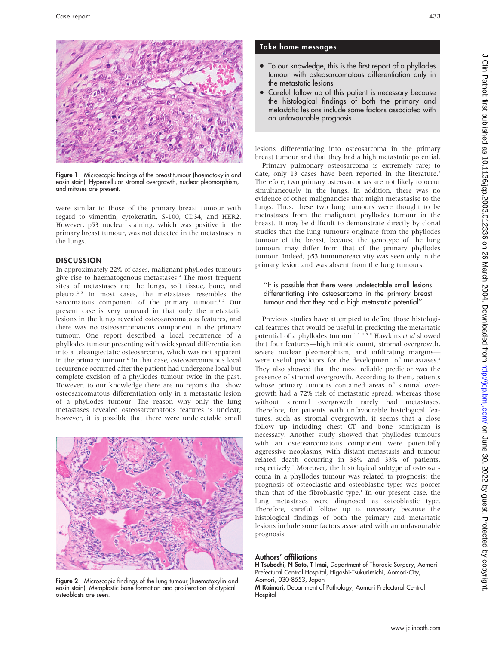

Figure 1 Microscopic findings of the breast tumour (haematoxylin and eosin stain). Hypercellular stromal overgrowth, nuclear pleomorphism, and mitoses are present.

were similar to those of the primary breast tumour with regard to vimentin, cytokeratin, S-100, CD34, and HER2. However, p53 nuclear staining, which was positive in the primary breast tumour, was not detected in the metastases in the lungs.

### **DISCUSSION**

In approximately 22% of cases, malignant phyllodes tumours give rise to haematogenous metastases.<sup>4</sup> The most frequent sites of metastases are the lungs, soft tissue, bone, and pleura.2 5 In most cases, the metastases resembles the sarcomatous component of the primary tumour.<sup>12</sup> Our present case is very unusual in that only the metastatic lesions in the lungs revealed osteosarcomatous features, and there was no osteosarcomatous component in the primary tumour. One report described a local recurrence of a phyllodes tumour presenting with widespread differentiation into a teleangiectatic osteosarcoma, which was not apparent in the primary tumour.<sup>6</sup> In that case, osteosarcomatous local recurrence occurred after the patient had undergone local but complete excision of a phyllodes tumour twice in the past. However, to our knowledge there are no reports that show osteosarcomatous differentiation only in a metastatic lesion of a phyllodes tumour. The reason why only the lung metastases revealed osteosarcomatous features is unclear; however, it is possible that there were undetectable small



Figure 2 Microscopic findings of the lung tumour (haematoxylin and eosin stain). Metaplastic bone formation and proliferation of atypical osteoblasts are seen.

# Take home messages

- To our knowledge, this is the first report of a phyllodes tumour with osteosarcomatous differentiation only in the metastatic lesions
- Careful follow up of this patient is necessary because the histological findings of both the primary and metastatic lesions include some factors associated with an unfavourable prognosis

lesions differentiating into osteosarcoma in the primary breast tumour and that they had a high metastatic potential.

Primary pulmonary osteosarcoma is extremely rare; to date, only 13 cases have been reported in the literature.<sup>7</sup> Therefore, two primary osteosarcomas are not likely to occur simultaneously in the lungs. In addition, there was no evidence of other malignancies that might metastasise to the lungs. Thus, these two lung tumours were thought to be metastases from the malignant phyllodes tumour in the breast. It may be difficult to demonstrate directly by clonal studies that the lung tumours originate from the phyllodes tumour of the breast, because the genotype of the lung tumours may differ from that of the primary phyllodes tumour. Indeed, p53 immunoreactivity was seen only in the primary lesion and was absent from the lung tumours.

#### ''It is possible that there were undetectable small lesions differentiating into osteosarcoma in the primary breast tumour and that they had a high metastatic potential''

Previous studies have attempted to define those histological features that would be useful in predicting the metastatic potential of a phyllodes tumour.<sup>12458</sup> Hawkins et al showed that four features—high mitotic count, stromal overgrowth, severe nuclear pleomorphism, and infiltrating margins were useful predictors for the development of metastases.<sup>2</sup> They also showed that the most reliable predictor was the presence of stromal overgrowth. According to them, patients whose primary tumours contained areas of stromal overgrowth had a 72% risk of metastatic spread, whereas those without stromal overgrowth rarely had metastases. Therefore, for patients with unfavourable histological features, such as stromal overgrowth, it seems that a close follow up including chest CT and bone scintigram is necessary. Another study showed that phyllodes tumours with an osteosarcomatous component were potentially aggressive neoplasms, with distant metastasis and tumour related death occurring in 38% and 33% of patients, respectively.<sup>1</sup> Moreover, the histological subtype of osteosarcoma in a phyllodes tumour was related to prognosis; the prognosis of osteoclastic and osteoblastic types was poorer than that of the fibroblastic type. $1$  In our present case, the lung metastases were diagnosed as osteoblastic type. Therefore, careful follow up is necessary because the histological findings of both the primary and metastatic lesions include some factors associated with an unfavourable prognosis.

#### Authors' affiliations .....................

H Tsubochi, N Sato, T Imai, Department of Thoracic Surgery, Aomori Prefectural Central Hospital, Higashi-Tsukurimichi, Aomori-City, Aomori, 030-8553, Japan

M Kaimori, Department of Pathology, Aomori Prefectural Central Hospital